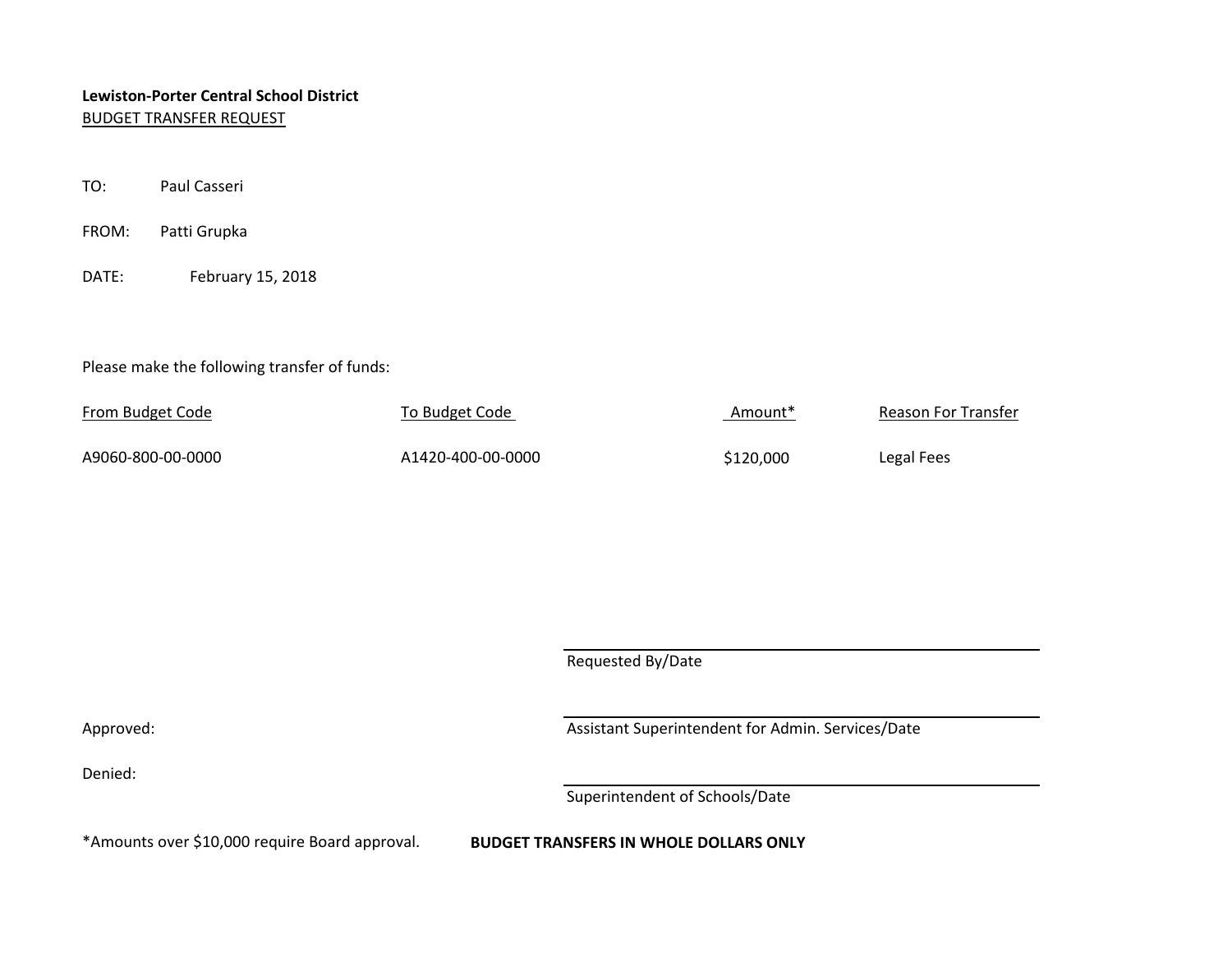# **Lewiston-Porter Central School District** BUDGET TRANSFER REQUEST

- TO: Paul Casseri
- FROM: Patti Grupka
- DATE: February 15, 2018

### Please make the following transfer of funds:

| <b>From Budget Code</b> | To Budget Code    | "Amount   | Reason For Transfer |
|-------------------------|-------------------|-----------|---------------------|
| A9060-800-00-0000       | A1420-400-00-0000 | \$120,000 | Legal Fees          |

Requested By/Date

Denied:

Approved: Approved: Assistant Superintendent for Admin. Services/Date

Superintendent of Schools/Date

\*Amounts over \$10,000 require Board approval. **BUDGET TRANSFERS IN WHOLE DOLLARS ONLY**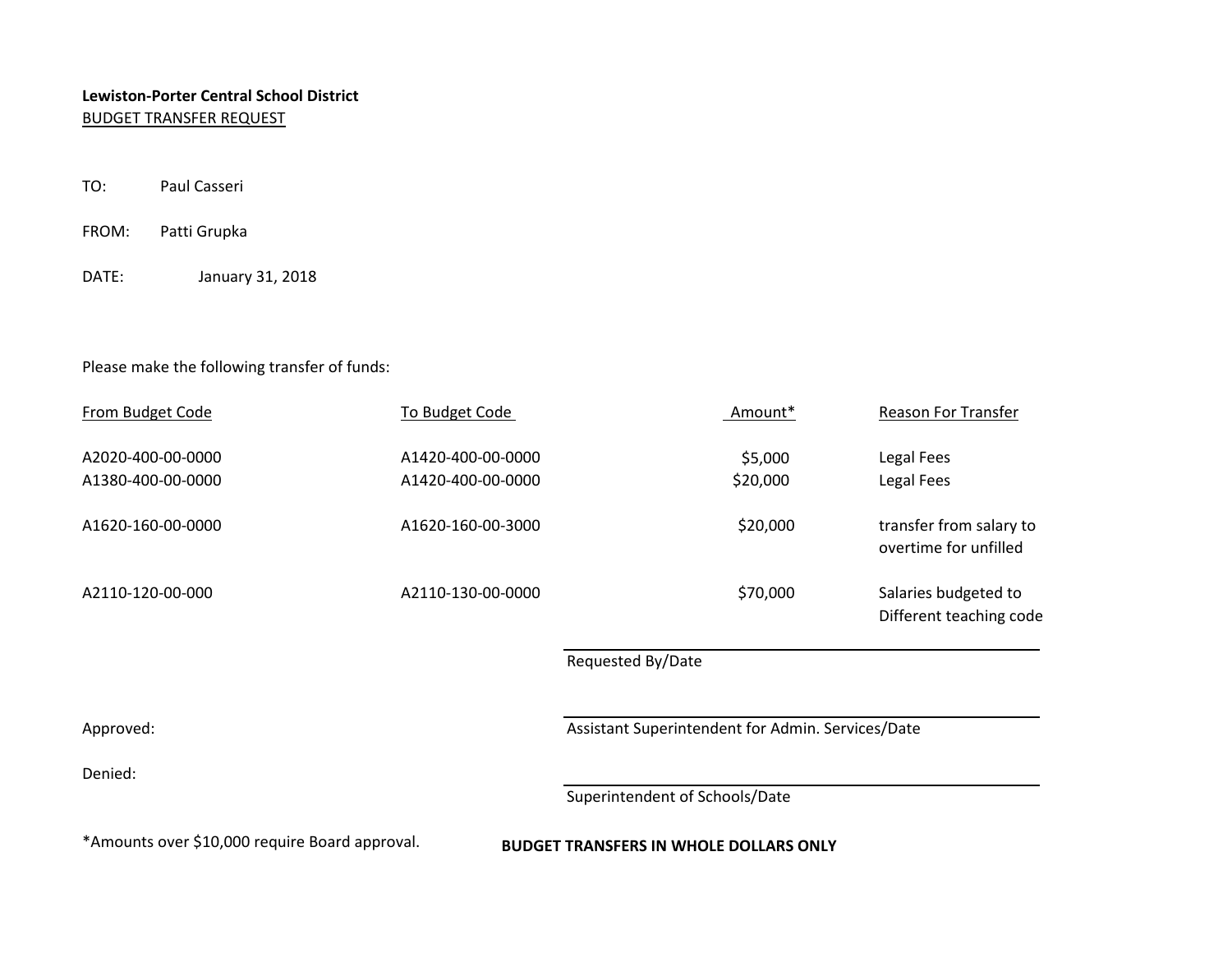# **Lewiston-Porter Central School District** BUDGET TRANSFER REQUEST

- TO: Paul Casseri
- FROM: Patti Grupka
- DATE: January 31, 2018

### Please make the following transfer of funds:

| From Budget Code                                                                                | To Budget Code                         |                                                   | Amount*             | <b>Reason For Transfer</b>                       |  |  |
|-------------------------------------------------------------------------------------------------|----------------------------------------|---------------------------------------------------|---------------------|--------------------------------------------------|--|--|
| A2020-400-00-0000<br>A1380-400-00-0000                                                          | A1420-400-00-0000<br>A1420-400-00-0000 |                                                   | \$5,000<br>\$20,000 | Legal Fees<br>Legal Fees                         |  |  |
| A1620-160-00-0000                                                                               | A1620-160-00-3000                      |                                                   | \$20,000            | transfer from salary to<br>overtime for unfilled |  |  |
| A2110-120-00-000                                                                                | A2110-130-00-0000                      |                                                   | \$70,000            | Salaries budgeted to<br>Different teaching code  |  |  |
|                                                                                                 |                                        | Requested By/Date                                 |                     |                                                  |  |  |
| Approved:                                                                                       |                                        | Assistant Superintendent for Admin. Services/Date |                     |                                                  |  |  |
| Denied:                                                                                         |                                        |                                                   |                     |                                                  |  |  |
|                                                                                                 |                                        | Superintendent of Schools/Date                    |                     |                                                  |  |  |
| *Amounts over \$10,000 require Board approval.<br><b>BUDGET TRANSFERS IN WHOLE DOLLARS ONLY</b> |                                        |                                                   |                     |                                                  |  |  |